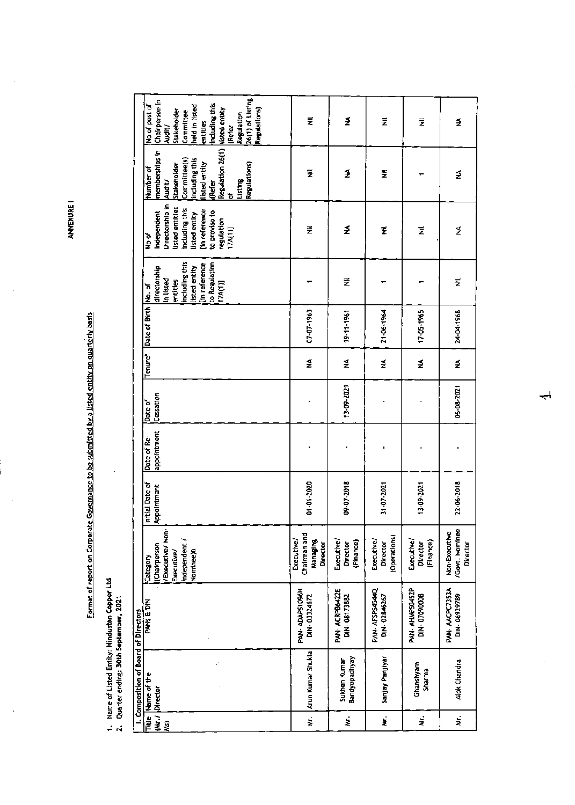**ANNEXURE I** 

Format of report on Corporate Governance to be submitted by a listed entity on quarterly basis

1. Name of Listed Entity: Hindustan Copper Ltd<br>2. Quarter ending: 30th September, 2021

|                                      | 26(1) of Listing<br>Chairperson in<br>including this<br>No of post of<br>held in listed<br>listed entity<br>Regulations)<br>Stakeholder<br>Committee<br>Regulation<br>entities<br>Refer<br>Audit/ | ₹                                                  | ₹                                   | Ξ                                      | ž                                   | ₹                                           |
|--------------------------------------|---------------------------------------------------------------------------------------------------------------------------------------------------------------------------------------------------|----------------------------------------------------|-------------------------------------|----------------------------------------|-------------------------------------|---------------------------------------------|
|                                      | Regulation 26(1)<br>memberships in<br>Committee(s)<br>including this<br>listed entity<br>Regulations)<br>Stakeholder<br>Number of<br>Listing<br>Audit/<br>(Refer<br>৳                             | ₹                                                  | ₹                                   | ž                                      |                                     | ₹                                           |
|                                      | Directorship in<br>listed entities<br>including this<br>in reference<br>to proviso to<br>Independent<br>listed entity<br>regulation<br>17A(1)]<br>ঠ<br>২                                          | ž                                                  | ₹                                   | ž                                      | ž                                   | ₹                                           |
|                                      | including this<br>to Regulation<br>[in reference<br>listed entity<br>directorship<br>in listed<br>entitles<br>(17A(1))                                                                            |                                                    | Ξ                                   |                                        |                                     | Σ                                           |
|                                      | Date of Birth Mo. of                                                                                                                                                                              | 07-07-1963                                         | 19-11-1961                          | 21-06-1964                             | 17-05-1965                          | 24-04-1968                                  |
|                                      | <b>Tenure</b>                                                                                                                                                                                     | ₹                                                  | ₹                                   | ₹                                      | ₹                                   | ≨                                           |
|                                      | Cessation<br>Date of                                                                                                                                                                              |                                                    | 13-09-2021                          |                                        |                                     | 06-08-2021                                  |
|                                      | appointment<br>Date of Re-                                                                                                                                                                        |                                                    |                                     |                                        |                                     |                                             |
|                                      | Initial Date of<br>Appointment                                                                                                                                                                    | 01-01-2020                                         | 09-07-2018                          | 31-07-2021                             | 13-09-2021                          | 22-06-2018                                  |
|                                      | /Executive/ Non-<br>independent<br><b>IChairperson</b><br>Nominee) <sub>B</sub><br>Executive/<br>Category                                                                                         | Chairman and<br>Executive/<br>Managing<br>Director | Executive/<br>(Finance)<br>Director | (Operations)<br>Executive/<br>Director | Executive/<br>(Finance)<br>Director | /Govt. Nominee<br>Non-Executive<br>Director |
|                                      | PANS & DIN                                                                                                                                                                                        | PAN-ADAPS1096H<br>DIN-03324672                     | PAN- ACRPB6422E<br>DIN-08173882     | PAN-AFSPS4544Q<br>DIN-02846267         | PAN- AHWPS0452P<br>DIN-07090008     | PAN-AACPC7353A<br>DIN-06929789              |
| I. Composition of Board of Directors | Title Name of the<br>Director                                                                                                                                                                     | Arun Kumar Shukla                                  | Bandyopadhyay<br>Sukhen Kumar       | Sanjay Panjiyar                        | Ghanshyam<br>Sharma                 | Alok Chandra                                |
|                                      | WJ <br><u>g</u>                                                                                                                                                                                   | i<br>Ž                                             | ż                                   | ż                                      | ₹                                   | ż                                           |

 $\rightarrow$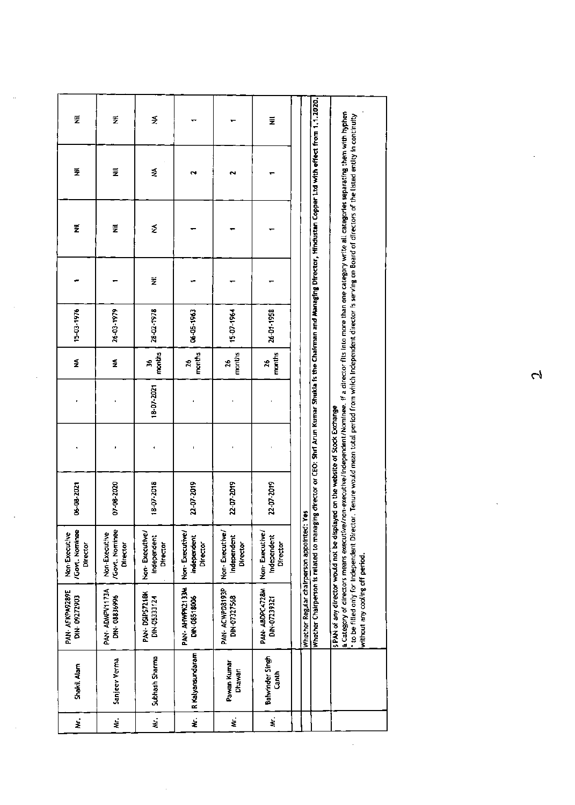| ₹                                          | ž                                           | ₹                                         |                                           |                                           | ž                                         |                                                                                                                                                                                                                                                                                                                                                                                                                                                                                                                                                                                                                                                                                                         |
|--------------------------------------------|---------------------------------------------|-------------------------------------------|-------------------------------------------|-------------------------------------------|-------------------------------------------|---------------------------------------------------------------------------------------------------------------------------------------------------------------------------------------------------------------------------------------------------------------------------------------------------------------------------------------------------------------------------------------------------------------------------------------------------------------------------------------------------------------------------------------------------------------------------------------------------------------------------------------------------------------------------------------------------------|
| ž                                          | Ξ                                           | ₹                                         | N                                         |                                           |                                           |                                                                                                                                                                                                                                                                                                                                                                                                                                                                                                                                                                                                                                                                                                         |
| ž                                          | Ę                                           | ₹                                         |                                           |                                           |                                           |                                                                                                                                                                                                                                                                                                                                                                                                                                                                                                                                                                                                                                                                                                         |
|                                            |                                             | ž                                         |                                           |                                           |                                           |                                                                                                                                                                                                                                                                                                                                                                                                                                                                                                                                                                                                                                                                                                         |
| 15-03-1976                                 | 26-03-1979                                  | 28-02-1978                                | 06-05-1963                                | 15-07-1964                                | 26-01-1958                                |                                                                                                                                                                                                                                                                                                                                                                                                                                                                                                                                                                                                                                                                                                         |
| ≨                                          | ź                                           | months<br>×                               | months<br>Å                               | months<br>26                              | months<br>26                              |                                                                                                                                                                                                                                                                                                                                                                                                                                                                                                                                                                                                                                                                                                         |
|                                            |                                             | 18-07-2021                                |                                           |                                           |                                           |                                                                                                                                                                                                                                                                                                                                                                                                                                                                                                                                                                                                                                                                                                         |
|                                            |                                             |                                           |                                           |                                           |                                           |                                                                                                                                                                                                                                                                                                                                                                                                                                                                                                                                                                                                                                                                                                         |
| 06-08-2021                                 | 07-08-2020                                  | 18-07-2018                                | 22-07-2019                                | 22-07-2019                                | 22-07-2019                                | Š                                                                                                                                                                                                                                                                                                                                                                                                                                                                                                                                                                                                                                                                                                       |
| Govt. Nominee<br>Non-Executive<br>Director | /Govt. Nominee<br>Non-Executive<br>Director | Non-Executive/<br>Independent<br>Director | Non-Executive/<br>Independent<br>Director | Non-Executive/<br>Independent<br>Director | Non-Executive/<br>Independent<br>Director |                                                                                                                                                                                                                                                                                                                                                                                                                                                                                                                                                                                                                                                                                                         |
| PAN- AFKPA9289E<br>DIN-09272903            | PAN-ADMPV1173A<br>DIN-08836996              | PAN-DSIPS7218K<br>DIN-05331124            | PAN-AHWPK2133M<br>DNN-08518006            | PAN-ACWPD8193P<br>DIN-07327568            | PAN-ABDPC4728M<br>DIN-07239321            | Whether Chairperson is related to managing director or CEO: Shri Arun Kumar Shukla is the Chairman and Managing Director, Hindustan Copper Ltd with effect from 1.1.2020.<br>a Category of directors means executive/non-executive/independent/Nominee. if a director fits into more than one category write all categories separating them with hyphen<br>to be filled only for independent Director. Tenure would mean total period from which independent director is serving on Board of directors of the listed entity in continuity<br>s PAN of any director would not be displayed on the website of Stock Exchange<br>Whether Regular chairperson appointed:<br>without any cooling off period. |
| Shakil Alam                                | Sanjeev Verma                               | Subhash Sharma                            | R Kalyansundaram                          | Pawan Kumar<br>Dhawan                     | Balwinder Singh<br>Canth                  |                                                                                                                                                                                                                                                                                                                                                                                                                                                                                                                                                                                                                                                                                                         |
| ż                                          | ż                                           | ż                                         | ż                                         | έ                                         | ż                                         |                                                                                                                                                                                                                                                                                                                                                                                                                                                                                                                                                                                                                                                                                                         |

 $\hat{\mathcal{L}}$ 

 $\hat{\phi}$ 

 $\sim$ 

 $\bar{\beta}$ 

 $\bar{\gamma}$ 

 $\sim 10^{-1}$ 

 $\overline{\mathcal{C}}$ 

 $\hat{\mathcal{A}}$ 

 $\sim$ 

 $\ddot{\phantom{0}}$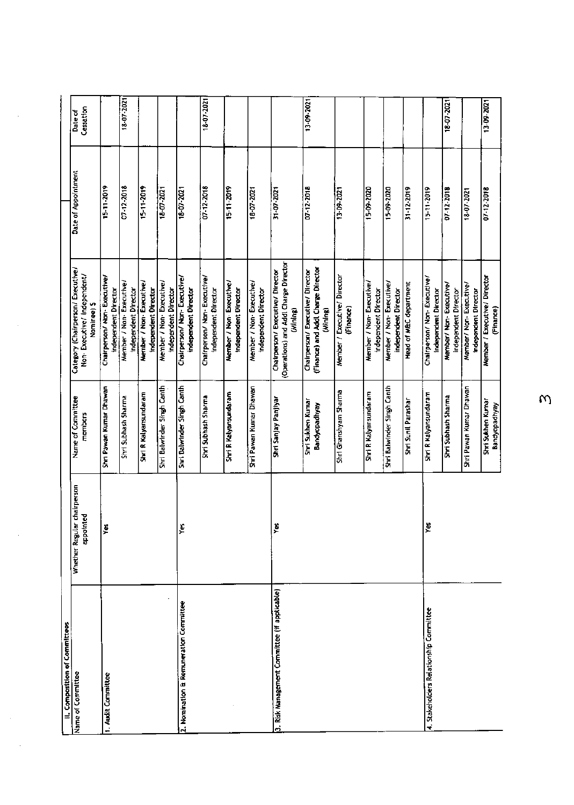| II. Composition of Committees                |                                          |                                    |                                                                                       |                             |                      |
|----------------------------------------------|------------------------------------------|------------------------------------|---------------------------------------------------------------------------------------|-----------------------------|----------------------|
| Name of Committee                            | Whether Regular chairperson<br>appointed | Name of Committee<br>members       | Category (Chairperson/ Executive/<br>Non-Executive/ Independent/<br>Nominee) \$       | Date of Appointment         | Cessation<br>Date of |
| 1. Audit Committee                           | ∦€                                       | Shri Pawan Kumar Dhawan            | Chairperson/ Non- Executive/<br>Independent Director                                  | 15-11-2019                  |                      |
|                                              |                                          | Shri Subhash Sharma                | Member / Non- Executive/<br>Independent Director                                      | 07-12-2018                  | 18-07-2021           |
|                                              |                                          | Shri R Kalyansundaram              | Member / Non-Executive/<br><b>Independent Director</b>                                | $15 - 11 - 2019$            |                      |
|                                              |                                          | Shri Balwinder Singh Canth         | Member / Non- Executive/<br>Independent Director                                      | 18-07-2021                  |                      |
| 2. Nomination E Remuneration Committee       | Ķ٢                                       | Shri Balwinder Singh Canth         | Chairperson/ Non-Executive/<br>independent Director                                   | 18-07-2021                  |                      |
|                                              |                                          | Shri Subhash Sharma                | Chairperson/ Non-Executive/<br>Independent Director                                   | 07-12-2018                  | 18-07-2021           |
|                                              |                                          | Shri R Kalyansundaram              | Member / Non-Executive/<br>Independent Director                                       | 15-11-2019                  |                      |
|                                              |                                          | Shri Pawan Kumar Dhawan            | Member / Non-Executive/<br>Independent Director                                       | 18-07-2021                  |                      |
| 3. Risk Management Committee (if applicable) | y                                        | Shri Sanjay Panjiyar               | (Operations) and Addl Charge Director<br>Chairperson/ Executive/ Director<br>(Mining) | 31-07-2021                  |                      |
|                                              |                                          | Shri Sukhen Kumar<br>Bandyopadhyay | (Finance) and Addl Charge Director<br>Chairperson/ Executive/ Director<br>(Mining)    | 07-12-2018                  | 1202-60-EL           |
|                                              |                                          | Shri Ghanshyam Sharma              | Member / Executive/ Director<br>(Finance)                                             | $\frac{13.09 - 2021}{2021}$ |                      |
|                                              |                                          | Shri R Kalyansundaram              | Member / Non- Executive/<br>Independent Director                                      | 15-09-2020                  |                      |
|                                              |                                          | Shri Balwinder Singh Canth         | Member / Non- Executive/<br>independent Director                                      | 15-09-2020                  |                      |
|                                              |                                          | Shri Sunil Parashar                | Head of MBC department                                                                | 31-12-2019                  |                      |
| 4. Stakeholders Relationship Committee       | Ł                                        | Shri R Kalyansundaram              | Chairperson/ Non-Executive/<br>independent Director                                   | 15-11-2019                  |                      |
|                                              |                                          | Shri Subhash Sharma                | Member/ Non- Executive/<br>independent Director                                       | $07 - 12 - 2018$            | 18-07-2021           |
|                                              |                                          | Shri Pawan Kumar Dhawan            | Member/ Non-Executive/<br>independent Director                                        | 18-07-2021                  |                      |
|                                              |                                          | Shri Sukhen Kumar<br>Bandyopadhyay | Member / Executive/ Director<br>(Finance)                                             | 07-12-2018                  | 13-09-2021           |

 $\omega$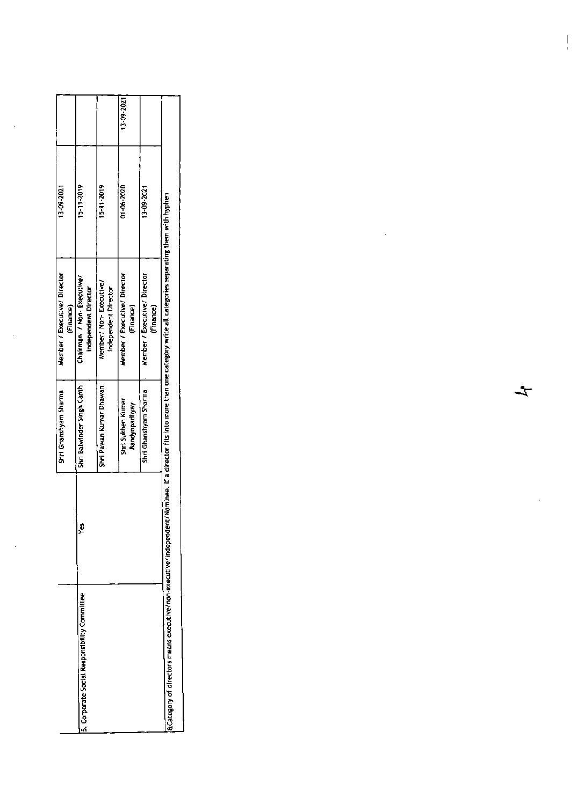|                                           |                                                   |                                                 | 13-09-2021                                |                                           |                                                                                                                                                                            |
|-------------------------------------------|---------------------------------------------------|-------------------------------------------------|-------------------------------------------|-------------------------------------------|----------------------------------------------------------------------------------------------------------------------------------------------------------------------------|
| 13-09-2021                                | 15-11-2019                                        | 15-11-2019                                      | 01-06-2020                                | 13-09-2021                                |                                                                                                                                                                            |
| Member / Executive/ Director<br>(Finance) | Chairman / Non-Executive/<br>independent Director | Member/ Non- Executive/<br>independent Director | Member / Executive/ Director<br>(Finance) | Member / Executive/ Director<br>(Finance) |                                                                                                                                                                            |
| Shri Ghanshyam Sharma                     | Shri Balwinder Singh Canth                        | Shri Pawan Kumar Dhawan                         | Shri Sukhen Kumar<br>Bandyopadhyay        | Shri Ghanshyam Sharma                     |                                                                                                                                                                            |
|                                           | ě                                                 |                                                 |                                           |                                           |                                                                                                                                                                            |
|                                           | 5. Corporate Social Responsibility Committee      |                                                 |                                           |                                           | a Category of directors means executive/non-executive/independent/Nominee. If a director fits into more than one category write all categories separating them with hyphen |

 $\frac{1}{2}$ 

 $\hat{\mathcal{L}}$ 

 $\hat{\mathcal{A}}$ 

 $\frac{1}{4}$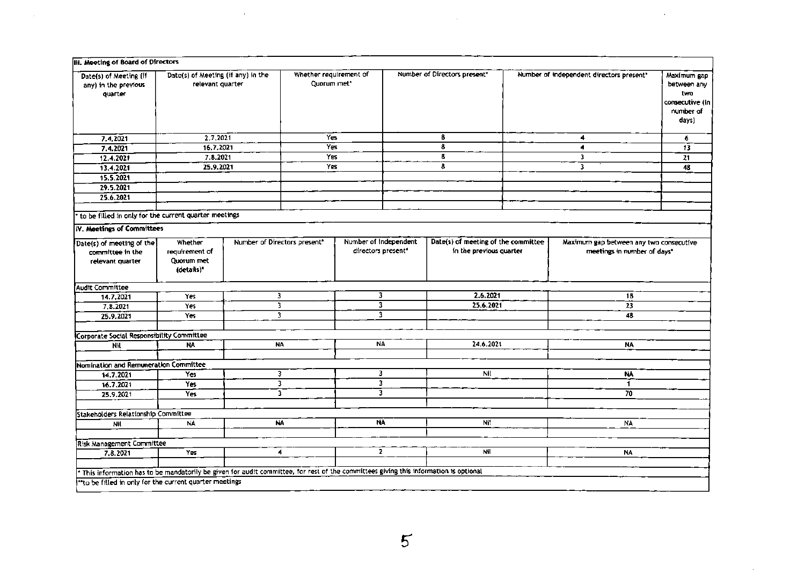| III. Meeting of Board of Directors                                                                                                  |                                                        |   |                                          |                                             |                                                                |                                                                        |                                                                            |
|-------------------------------------------------------------------------------------------------------------------------------------|--------------------------------------------------------|---|------------------------------------------|---------------------------------------------|----------------------------------------------------------------|------------------------------------------------------------------------|----------------------------------------------------------------------------|
| Date(s) of Meeting (if<br>any) in the previous<br>quarter                                                                           | Date(s) of Meeting (if any) in the<br>relevant quarter |   | Whether requirement of<br>Quorum met*    |                                             | Number of Directors present*                                   | Number of independent directors present"                               | Maximum gap<br>between any<br>two<br>consecutive (in<br>number of<br>days) |
| 7.4,2021                                                                                                                            | 2.7,2021                                               |   | Yes                                      |                                             | 8                                                              | 4                                                                      | 6                                                                          |
| 7.4.2021                                                                                                                            | 16.7.2021                                              |   | Yes                                      |                                             | 8                                                              | ٠                                                                      | 13                                                                         |
| 12.4.2021                                                                                                                           | 7.8.2021                                               |   | Yes                                      |                                             | 8                                                              | 3                                                                      | $\overline{21}$                                                            |
| 13.4.2021                                                                                                                           | 25.9.2021                                              |   | Yes                                      |                                             | 8                                                              | 3                                                                      | 48                                                                         |
| 15.5.2021                                                                                                                           |                                                        |   |                                          |                                             |                                                                |                                                                        |                                                                            |
| 29.5.2021                                                                                                                           |                                                        |   |                                          |                                             |                                                                |                                                                        |                                                                            |
| 25.6.2021                                                                                                                           |                                                        |   |                                          |                                             |                                                                |                                                                        |                                                                            |
| to be filled in only for the current quarter meetings                                                                               |                                                        |   |                                          |                                             |                                                                |                                                                        |                                                                            |
| IV. Meetings of Committees                                                                                                          |                                                        |   |                                          |                                             |                                                                |                                                                        |                                                                            |
| Date(s) of meeting of the<br>committee in the<br>relevant quarter                                                                   | Whether<br>requirement of<br>Ouorum met<br>(details)*  |   | Number of Directors present <sup>*</sup> | Number of independent<br>directors present* | Date(s) of meeting of the committee<br>in the previous quarter | Maximum gap between any two consecutive<br>meetings in number of days" |                                                                            |
| Audit Committee                                                                                                                     |                                                        |   |                                          |                                             |                                                                |                                                                        |                                                                            |
| 14.7.2021                                                                                                                           | Yes                                                    |   | 3                                        | 3                                           | 2.6.2021                                                       | 18                                                                     |                                                                            |
| 7, 8, 2021                                                                                                                          | Yes                                                    |   | 3                                        | 3                                           | 25.6.2021                                                      | $\overline{23}$                                                        |                                                                            |
| 25.9.2021                                                                                                                           | Yes                                                    |   | $\overline{\mathbf{3}}$                  | 3                                           |                                                                | 48                                                                     |                                                                            |
| Corporate Social Responsibility Committee                                                                                           |                                                        |   |                                          |                                             |                                                                |                                                                        |                                                                            |
| NW                                                                                                                                  | NA                                                     |   | <b>NA</b>                                | NA                                          | 24.6.2021                                                      | <b>NA</b>                                                              |                                                                            |
| Nomination and Remuneration Committee                                                                                               |                                                        |   |                                          |                                             |                                                                |                                                                        |                                                                            |
| 14.7.2021                                                                                                                           | Yes                                                    |   | 3                                        | 3                                           | Nil                                                            | NA.                                                                    |                                                                            |
| 16.7.2021                                                                                                                           | Yes                                                    | з |                                          | 3                                           |                                                                | $\mathbf{1}$                                                           |                                                                            |
| 25.9.2021                                                                                                                           | <b>Yes</b>                                             |   | 3                                        | 3                                           |                                                                | $\overline{70}$                                                        |                                                                            |
| Stakeholders Relationship Committee                                                                                                 |                                                        |   |                                          |                                             |                                                                |                                                                        |                                                                            |
| Nil                                                                                                                                 | <b>NA</b>                                              |   | $\overline{\mathsf{NA}}$                 | NA.                                         | Nit                                                            | <b>NA</b>                                                              |                                                                            |
|                                                                                                                                     |                                                        |   |                                          |                                             |                                                                |                                                                        |                                                                            |
| <b>Risk Management Committee</b>                                                                                                    |                                                        |   |                                          |                                             |                                                                |                                                                        |                                                                            |
| 7.8.2021                                                                                                                            | Yes                                                    |   | $\blacktriangleleft$                     | 2                                           | Nil                                                            | <b>NA</b>                                                              |                                                                            |
| This information has to be mandatorily be given for audit committee, for rest of the committees giving this information is optional |                                                        |   |                                          |                                             |                                                                |                                                                        |                                                                            |
| "to be filled in only for the current quarter meetings                                                                              |                                                        |   |                                          |                                             |                                                                |                                                                        |                                                                            |
|                                                                                                                                     |                                                        |   |                                          |                                             |                                                                |                                                                        |                                                                            |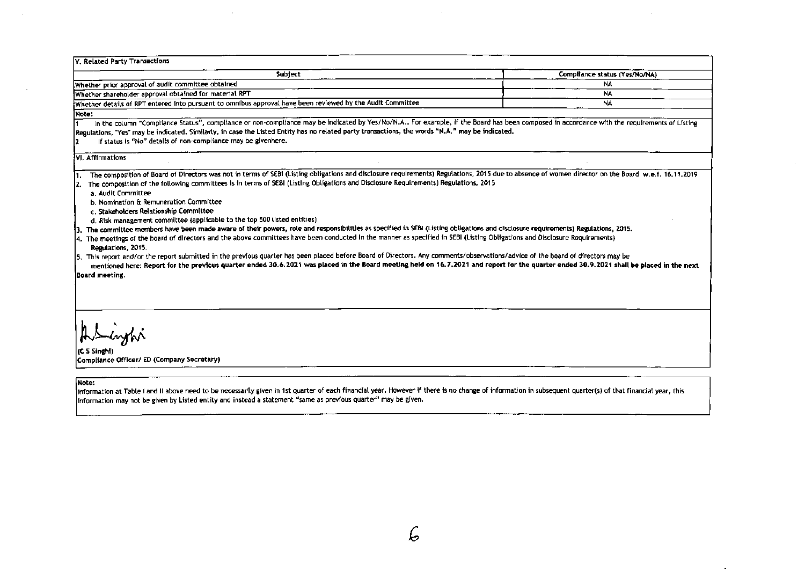| V. Related Party Transactions                                                                                                                                                                                                                                                                                                                                                                                                                                                                                                                                                                                                                                                                                                                                                                                                                                                                                                                                                                                                                                                                                                                                                                                                                                                                             |                               |
|-----------------------------------------------------------------------------------------------------------------------------------------------------------------------------------------------------------------------------------------------------------------------------------------------------------------------------------------------------------------------------------------------------------------------------------------------------------------------------------------------------------------------------------------------------------------------------------------------------------------------------------------------------------------------------------------------------------------------------------------------------------------------------------------------------------------------------------------------------------------------------------------------------------------------------------------------------------------------------------------------------------------------------------------------------------------------------------------------------------------------------------------------------------------------------------------------------------------------------------------------------------------------------------------------------------|-------------------------------|
| Subject                                                                                                                                                                                                                                                                                                                                                                                                                                                                                                                                                                                                                                                                                                                                                                                                                                                                                                                                                                                                                                                                                                                                                                                                                                                                                                   | Compliance status (Yes/No/NA) |
| Whether prior approval of audit committee obtained                                                                                                                                                                                                                                                                                                                                                                                                                                                                                                                                                                                                                                                                                                                                                                                                                                                                                                                                                                                                                                                                                                                                                                                                                                                        | <b>NA</b>                     |
| Whether shareholder approval obtained for material RPT                                                                                                                                                                                                                                                                                                                                                                                                                                                                                                                                                                                                                                                                                                                                                                                                                                                                                                                                                                                                                                                                                                                                                                                                                                                    | <b>NA</b>                     |
| Whether details of RPT entered into pursuant to omnibus approval have been reviewed by the Audit Committee                                                                                                                                                                                                                                                                                                                                                                                                                                                                                                                                                                                                                                                                                                                                                                                                                                                                                                                                                                                                                                                                                                                                                                                                | <b>NA</b>                     |
| Note:                                                                                                                                                                                                                                                                                                                                                                                                                                                                                                                                                                                                                                                                                                                                                                                                                                                                                                                                                                                                                                                                                                                                                                                                                                                                                                     |                               |
| In the column "Compliance Status", compliance or non-compliance may be indicated by Yes/No/N.A For example, if the Board has been composed in accordance with the requirements of Listing<br>Regulations, "Yes" may be indicated. Similarly, in case the Listed Entity has no related party transactions, the words "N.A." may be indicated.<br>If status is "No" details of non-compliance may be givenhere.                                                                                                                                                                                                                                                                                                                                                                                                                                                                                                                                                                                                                                                                                                                                                                                                                                                                                             |                               |
| VI. Affirmations                                                                                                                                                                                                                                                                                                                                                                                                                                                                                                                                                                                                                                                                                                                                                                                                                                                                                                                                                                                                                                                                                                                                                                                                                                                                                          |                               |
| The composition of Board of Directors was not in terms of SEBI (Listing obligations and disclosure requirements) Regulations, 2015 due to absence of women director on the Board w.e.f. 16.11.2019<br>The composition of the following committees is in terms of SEBI (Listing Obligations and Disclosure Requirements) Regulations, 2015<br>a. Audit Committee<br>b. Nomination & Remuneration Committee<br>c. Stakeholders Relationship Committee<br>d. Risk management committee (applicable to the top 500 listed entities)<br>3. The committee members have been made aware of their powers, role and responsibilities as specified in SEBI (Listing obligations and disclosure requirements) Regulations, 2015.<br>4. The meetings of the board of directors and the above committees have been conducted in the manner as specified in SEBI (Listing Obligations and Disclosure Requirements)<br>Regulations, 2015.<br>5. This report and/or the report submitted in the previous quarter has been placed before Board of Directors. Any comments/observations/advice of the board of directors may be<br>mentioned here: Report for the previous quarter ended 30.6.2021 was placed in the Board meeting held on 16.7.2021 and report for the quarter ended 30.9.2021 shall be placed in the next |                               |
| Board meeting.<br>Asylvi<br>(C S Singhi)<br>Compliance Officer/ ED (Company Secretary)                                                                                                                                                                                                                                                                                                                                                                                                                                                                                                                                                                                                                                                                                                                                                                                                                                                                                                                                                                                                                                                                                                                                                                                                                    |                               |

 $\alpha$ 

 $\sim 10^7$ 

 $\sim$ 

 $\sim 10^7$ 

i.

Note:

 $\sim$ 

 $\sim$ 

Information at Table I and II above need to be necessarily given in 1st quarter of each financial year. However if there is no change of information in subsequent quarter(s) of that financial year, this information may not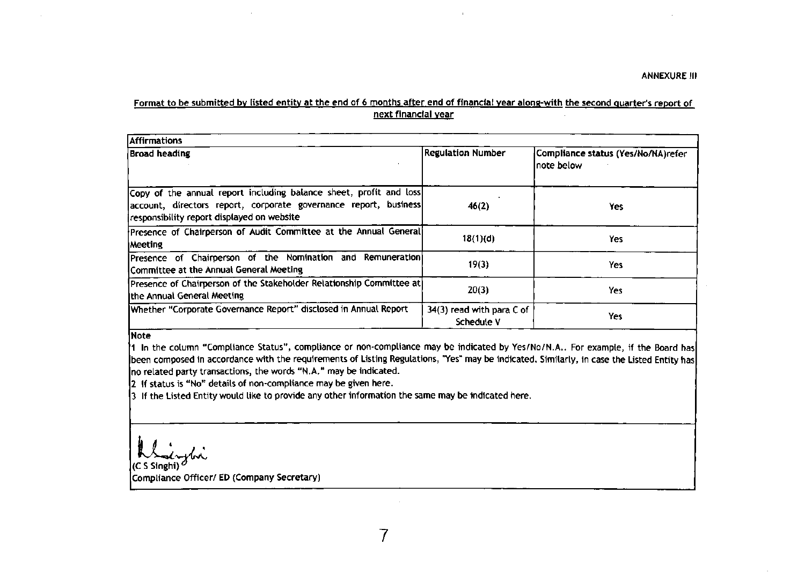## Format to be submitted by listed entity at the end of 6 months after end of financial year along-with the second quarter's report of next financial year

 $\cdot$ 

| Affirmations                                                                                                                                                                         |                                         |                                                   |
|--------------------------------------------------------------------------------------------------------------------------------------------------------------------------------------|-----------------------------------------|---------------------------------------------------|
| <b>Broad heading</b>                                                                                                                                                                 | <b>Regulation Number</b>                | Compliance status (Yes/No/NA)refer<br>Inote below |
| Copy of the annual report including balance sheet, profit and loss<br>account, directors report, corporate governance report, business<br>responsibility report displayed on website | 46(2)                                   | Yes                                               |
| Presence of Chairperson of Audit Committee at the Annual General<br>Meeting                                                                                                          | 18(1)(d)                                | Yes                                               |
| Presence of Chairperson of the Nomination and Remuneration<br>Committee at the Annual General Meeting                                                                                | 19(3)                                   | Yes                                               |
| Presence of Chairperson of the Stakeholder Relationship Committee at<br>the Annual General Meeting                                                                                   | 20(3)                                   | Yes                                               |
| Whether "Corporate Governance Report" disclosed in Annual Report                                                                                                                     | 34(3) read with para C of<br>Schedule V | Yes                                               |

## Note

I ln the cotumn "Comptlance Status", comptiance or non.comptiance may be indicated by Yes/No/N.A,. For exampte, if the Board has been composed in accordance with the requirements of Listing Regulations, "Yes" may be indicated. Similarly, in case the Listed Entity has no retated party transactions, the words "N.a." may be indicated.

2 lf status is "No" details of non-compliance may be given here.

3 tf the Lirted Entitywould tlke to provide any other information the same may be indlcated here.

duphr

(c S Singhi) Compllance Offlcer/ ED (Company Secretary)